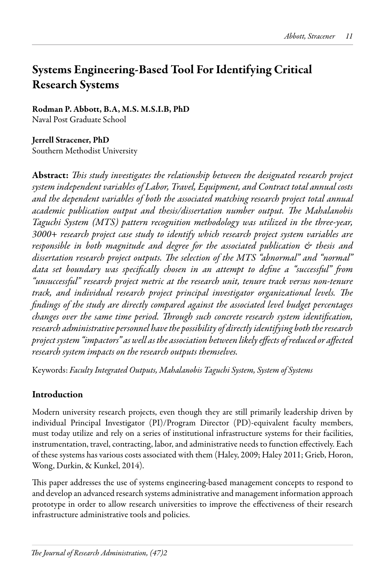# Systems Engineering-Based Tool For Identifying Critical Research Systems

Rodman P. Abbott, B.A, M.S. M.S.I.B, PhD Naval Post Graduate School

## Jerrell Stracener, PhD

Southern Methodist University

Abstract: *This study investigates the relationship between the designated research project system independent variables of Labor, Travel, Equipment, and Contract total annual costs and the dependent variables of both the associated matching research project total annual academic publication output and thesis/dissertation number output. The Mahalanobis Taguchi System (MTS) pattern recognition methodology was utilized in the three-year, 3000+ research project case study to identify which research project system variables are responsible in both magnitude and degree for the associated publication & thesis and dissertation research project outputs. The selection of the MTS "abnormal" and "normal" data set boundary was specifically chosen in an attempt to define a "successful" from "unsuccessful" research project metric at the research unit, tenure track versus non-tenure track, and individual research project principal investigator organizational levels. The findings of the study are directly compared against the associated level budget percentages changes over the same time period. Through such concrete research system identification, research administrative personnel have the possibility of directly identifying both the research project system "impactors" as well as the association between likely effects of reduced or affected research system impacts on the research outputs themselves.*

Keywords: *Faculty Integrated Outputs, Mahalanobis Taguchi System, System of Systems*

## Introduction

Modern university research projects, even though they are still primarily leadership driven by individual Principal Investigator (PI)/Program Director (PD)-equivalent faculty members, must today utilize and rely on a series of institutional infrastructure systems for their facilities, instrumentation, travel, contracting, labor, and administrative needs to function effectively. Each of these systems has various costs associated with them (Haley, 2009; Haley 2011; Grieb, Horon, Wong, Durkin, & Kunkel, 2014).

This paper addresses the use of systems engineering-based management concepts to respond to and develop an advanced research systems administrative and management information approach prototype in order to allow research universities to improve the effectiveness of their research infrastructure administrative tools and policies.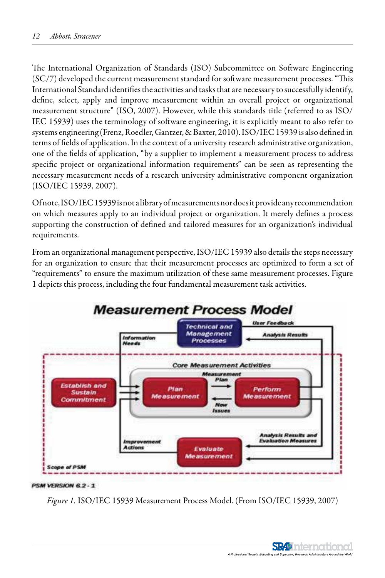The International Organization of Standards (ISO) Subcommittee on Software Engineering  $(SC/7)$  developed the current measurement standard for software measurement processes. "This International Standard identifies the activities and tasks that are necessary to successfully identify, define, select, apply and improve measurement within an overall project or organizational<br> $\frac{n}{\epsilon}$  (FO 2007) II and interval administrative formulational IEC 15939) uses the terminology of software engineering, it is explicitly meant to also refer to systems engineering (Frenz, Roedler, Gantzer, & Baxter, 2010). ISO/IEC 15939 is also defined in terms of fields of application. In the context of a university research administrative organization, one of the fields of application, "by a supplier to implement a measurement process to address necessary measurement needs of a research university administrative component organization<br>(ISO/IEC 15939 2007)  $r_{\text{rel}}$ measurement structure" (ISO, 2007). However, while this standards title (referred to as ISO/ specific project or organizational information requirements" can be seen as representing the (ISO/IEC 15939, 2007).

Of note, ISO/IEC 15939 is not a library of measurements nor does it provide any recommendation on which measures apply to an individual project of organization. It merely defines a process supporting the construction of defined and tailored measures for an organization's individual From an original management perspective, ISO/IEC 15939 also details the steps necessary of steps necessary necessary on which measures apply to an individual project or organization. It merely defines a process requirements.

From an organizational management perspective, ISO/IEC 15939 also details the steps necessary for an organization to ensure that their measurement processes are optimized to form a set of  $\epsilon$ 1 depicts this process, including the four fundamental measurement task activities. 1 depicts this process, including the four fundamental measurement task activities. "requirements" to ensure the maximum utilization of these same measurement processes. Figure



#### PSM VERSION 6.2-1

*Figure 1.* ISO/IEC 15939 Measurement Process Model. (From ISO/IEC 15939, 2007)

**SR49** International A Professional Society, Educating and Supporting Research Administrators Around the World<br>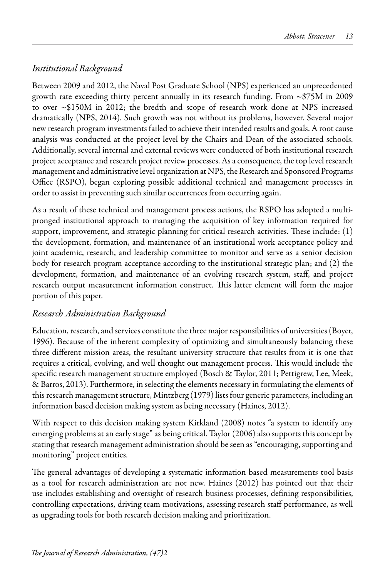## *Institutional Background*

Between 2009 and 2012, the Naval Post Graduate School (NPS) experienced an unprecedented growth rate exceeding thirty percent annually in its research funding. From ~\$75M in 2009 to over ~\$150M in 2012; the bredth and scope of research work done at NPS increased dramatically (NPS, 2014). Such growth was not without its problems, however. Several major new research program investments failed to achieve their intended results and goals. A root cause analysis was conducted at the project level by the Chairs and Dean of the associated schools. Additionally, several internal and external reviews were conducted of both institutional research project acceptance and research project review processes. As a consequence, the top level research management and administrative level organization at NPS, the Research and Sponsored Programs Office (RSPO), began exploring possible additional technical and management processes in order to assist in preventing such similar occurrences from occurring again.

As a result of these technical and management process actions, the RSPO has adopted a multipronged institutional approach to managing the acquisition of key information required for support, improvement, and strategic planning for critical research activities. These include: (1) the development, formation, and maintenance of an institutional work acceptance policy and joint academic, research, and leadership committee to monitor and serve as a senior decision body for research program acceptance according to the institutional strategic plan; and (2) the development, formation, and maintenance of an evolving research system, staff, and project research output measurement information construct. This latter element will form the major portion of this paper.

## *Research Administration Background*

Education, research, and services constitute the three major responsibilities of universities (Boyer, 1996). Because of the inherent complexity of optimizing and simultaneously balancing these three different mission areas, the resultant university structure that results from it is one that requires a critical, evolving, and well thought out management process. This would include the specific research management structure employed (Bosch & Taylor, 2011; Pettigrew, Lee, Meek, & Barros, 2013). Furthermore, in selecting the elements necessary in formulating the elements of this research management structure, Mintzberg (1979) lists four generic parameters, including an information based decision making system as being necessary (Haines, 2012).

With respect to this decision making system Kirkland (2008) notes "a system to identify any emerging problems at an early stage" as being critical. Taylor (2006) also supports this concept by stating that research management administration should be seen as "encouraging, supporting and monitoring" project entities.

The general advantages of developing a systematic information based measurements tool basis as a tool for research administration are not new. Haines (2012) has pointed out that their use includes establishing and oversight of research business processes, defining responsibilities, controlling expectations, driving team motivations, assessing research staff performance, as well as upgrading tools for both research decision making and prioritization.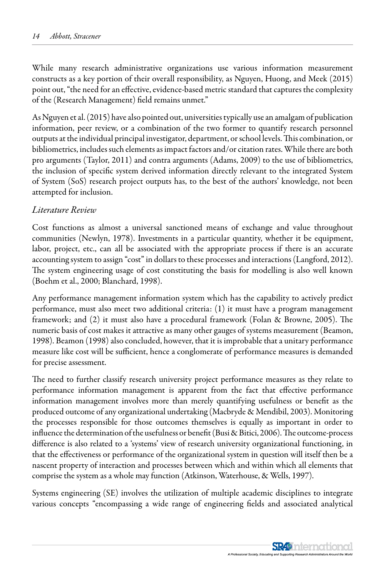While many research administrative organizations use various information measurement constructs as a key portion of their overall responsibility, as Nguyen, Huong, and Meek (2015) point out, "the need for an effective, evidence-based metric standard that captures the complexity of the (Research Management) field remains unmet."

As Nguyen et al. (2015) have also pointed out, universities typically use an amalgam of publication information, peer review, or a combination of the two former to quantify research personnel outputs at the individual principal investigator, department, or school levels. This combination, or bibliometrics, includes such elements as impact factors and/or citation rates. While there are both pro arguments (Taylor, 2011) and contra arguments (Adams, 2009) to the use of bibliometrics, the inclusion of specific system derived information directly relevant to the integrated System of System (SoS) research project outputs has, to the best of the authors' knowledge, not been attempted for inclusion.

### *Literature Review*

Cost functions as almost a universal sanctioned means of exchange and value throughout communities (Newlyn, 1978). Investments in a particular quantity, whether it be equipment, labor, project, etc., can all be associated with the appropriate process if there is an accurate accounting system to assign "cost" in dollars to these processes and interactions (Langford, 2012). The system engineering usage of cost constituting the basis for modelling is also well known (Boehm et al., 2000; Blanchard, 1998).

Any performance management information system which has the capability to actively predict performance, must also meet two additional criteria: (1) it must have a program management framework; and (2) it must also have a procedural framework (Folan & Browne, 2005). The numeric basis of cost makes it attractive as many other gauges of systems measurement (Beamon, 1998). Beamon (1998) also concluded, however, that it is improbable that a unitary performance measure like cost will be sufficient, hence a conglomerate of performance measures is demanded for precise assessment.

The need to further classify research university project performance measures as they relate to performance information management is apparent from the fact that effective performance information management involves more than merely quantifying usefulness or benefit as the produced outcome of any organizational undertaking (Macbryde & Mendibil, 2003). Monitoring the processes responsible for those outcomes themselves is equally as important in order to influence the determination of the usefulness or benefit (Busi & Bitici, 2006). The outcome-process difference is also related to a 'systems' view of research university organizational functioning, in that the effectiveness or performance of the organizational system in question will itself then be a nascent property of interaction and processes between which and within which all elements that comprise the system as a whole may function (Atkinson, Waterhouse, & Wells, 1997).

Systems engineering (SE) involves the utilization of multiple academic disciplines to integrate various concepts "encompassing a wide range of engineering fields and associated analytical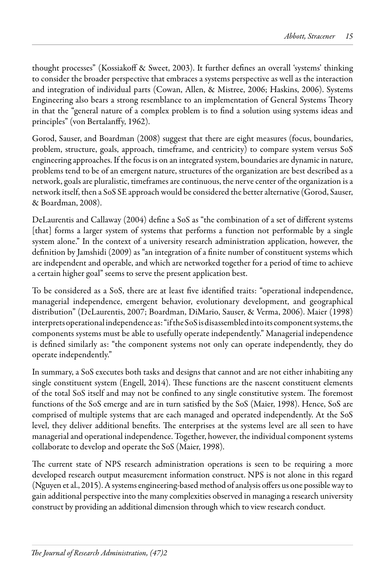thought processes" (Kossiakoff & Sweet, 2003). It further defines an overall 'systems' thinking to consider the broader perspective that embraces a systems perspective as well as the interaction and integration of individual parts (Cowan, Allen, & Mistree, 2006; Haskins, 2006). Systems Engineering also bears a strong resemblance to an implementation of General Systems Theory in that the "general nature of a complex problem is to find a solution using systems ideas and principles" (von Bertalanffy, 1962).

Gorod, Sauser, and Boardman (2008) suggest that there are eight measures (focus, boundaries, problem, structure, goals, approach, timeframe, and centricity) to compare system versus SoS engineering approaches. If the focus is on an integrated system, boundaries are dynamic in nature, problems tend to be of an emergent nature, structures of the organization are best described as a network, goals are pluralistic, timeframes are continuous, the nerve center of the organization is a network itself, then a SoS SE approach would be considered the better alternative (Gorod, Sauser, & Boardman, 2008).

DeLaurentis and Callaway (2004) define a SoS as "the combination of a set of different systems [that] forms a larger system of systems that performs a function not performable by a single system alone." In the context of a university research administration application, however, the definition by Jamshidi (2009) as "an integration of a finite number of constituent systems which are independent and operable, and which are networked together for a period of time to achieve a certain higher goal" seems to serve the present application best.

To be considered as a SoS, there are at least five identified traits: "operational independence, managerial independence, emergent behavior, evolutionary development, and geographical distribution" (DeLaurentis, 2007; Boardman, DiMario, Sauser, & Verma, 2006). Maier (1998) interprets operational independence as: "if the SoS is disassembled into its component systems, the components systems must be able to usefully operate independently." Managerial independence is defined similarly as: "the component systems not only can operate independently, they do operate independently."

In summary, a SoS executes both tasks and designs that cannot and are not either inhabiting any single constituent system (Engell, 2014). These functions are the nascent constituent elements of the total SoS itself and may not be confined to any single constitutive system. The foremost functions of the SoS emerge and are in turn satisfied by the SoS (Maier, 1998). Hence, SoS are comprised of multiple systems that are each managed and operated independently. At the SoS level, they deliver additional benefits. The enterprises at the systems level are all seen to have managerial and operational independence. Together, however, the individual component systems collaborate to develop and operate the SoS (Maier, 1998).

The current state of NPS research administration operations is seen to be requiring a more developed research output measurement information construct. NPS is not alone in this regard (Nguyen et al., 2015). A systems engineering-based method of analysis offers us one possible way to gain additional perspective into the many complexities observed in managing a research university construct by providing an additional dimension through which to view research conduct.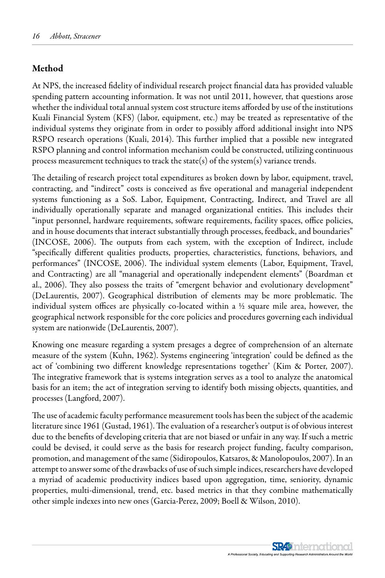### Method

At NPS, the increased fidelity of individual research project financial data has provided valuable spending pattern accounting information. It was not until 2011, however, that questions arose whether the individual total annual system cost structure items afforded by use of the institutions Kuali Financial System (KFS) (labor, equipment, etc.) may be treated as representative of the individual systems they originate from in order to possibly afford additional insight into NPS RSPO research operations (Kuali, 2014). This further implied that a possible new integrated RSPO planning and control information mechanism could be constructed, utilizing continuous process measurement techniques to track the state(s) of the system(s) variance trends.

The detailing of research project total expenditures as broken down by labor, equipment, travel, contracting, and "indirect" costs is conceived as five operational and managerial independent systems functioning as a SoS. Labor, Equipment, Contracting, Indirect, and Travel are all individually operationally separate and managed organizational entities. This includes their "input personnel, hardware requirements, software requirements, facility spaces, office policies, and in house documents that interact substantially through processes, feedback, and boundaries" (INCOSE, 2006). The outputs from each system, with the exception of Indirect, include "specifically different qualities products, properties, characteristics, functions, behaviors, and performances" (INCOSE, 2006). The individual system elements (Labor, Equipment, Travel, and Contracting) are all "managerial and operationally independent elements" (Boardman et al., 2006). They also possess the traits of "emergent behavior and evolutionary development" (DeLaurentis, 2007). Geographical distribution of elements may be more problematic. The individual system offices are physically co-located within a ½ square mile area, however, the geographical network responsible for the core policies and procedures governing each individual system are nationwide (DeLaurentis, 2007).

Knowing one measure regarding a system presages a degree of comprehension of an alternate measure of the system (Kuhn, 1962). Systems engineering 'integration' could be defined as the act of 'combining two different knowledge representations together' (Kim & Porter, 2007). The integrative framework that is systems integration serves as a tool to analyze the anatomical basis for an item; the act of integration serving to identify both missing objects, quantities, and processes (Langford, 2007).

The use of academic faculty performance measurement tools has been the subject of the academic literature since 1961 (Gustad, 1961). The evaluation of a researcher's output is of obvious interest due to the benefits of developing criteria that are not biased or unfair in any way. If such a metric could be devised, it could serve as the basis for research project funding, faculty comparison, promotion, and management of the same (Sidiropoulos, Katsaros, & Manolopoulos, 2007). In an attempt to answer some of the drawbacks of use of such simple indices, researchers have developed a myriad of academic productivity indices based upon aggregation, time, seniority, dynamic properties, multi-dimensional, trend, etc. based metrics in that they combine mathematically other simple indexes into new ones (Garcia-Perez, 2009; Boell & Wilson, 2010).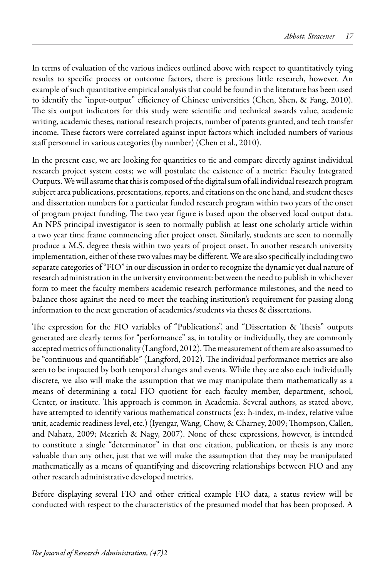In terms of evaluation of the various indices outlined above with respect to quantitatively tying results to specific process or outcome factors, there is precious little research, however. An example of such quantitative empirical analysis that could be found in the literature has been used to identify the "input-output" efficiency of Chinese universities (Chen, Shen, & Fang, 2010). The six output indicators for this study were scientific and technical awards value, academic writing, academic theses, national research projects, number of patents granted, and tech transfer income. These factors were correlated against input factors which included numbers of various staff personnel in various categories (by number) (Chen et al., 2010).

In the present case, we are looking for quantities to tie and compare directly against individual research project system costs; we will postulate the existence of a metric: Faculty Integrated Outputs. We will assume that this is composed of the digital sum of all individual research program subject area publications, presentations, reports, and citations on the one hand, and student theses and dissertation numbers for a particular funded research program within two years of the onset of program project funding. The two year figure is based upon the observed local output data. An NPS principal investigator is seen to normally publish at least one scholarly article within a two year time frame commencing after project onset. Similarly, students are seen to normally produce a M.S. degree thesis within two years of project onset. In another research university implementation, either of these two values may be different. We are also specifically including two separate categories of "FIO" in our discussion in order to recognize the dynamic yet dual nature of research administration in the university environment: between the need to publish in whichever form to meet the faculty members academic research performance milestones, and the need to balance those against the need to meet the teaching institution's requirement for passing along information to the next generation of academics/students via theses & dissertations.

The expression for the FIO variables of "Publications", and "Dissertation & Thesis" outputs generated are clearly terms for "performance" as, in totality or individually, they are commonly accepted metrics of functionality (Langford, 2012). The measurement of them are also assumed to be "continuous and quantifiable" (Langford, 2012). The individual performance metrics are also seen to be impacted by both temporal changes and events. While they are also each individually discrete, we also will make the assumption that we may manipulate them mathematically as a means of determining a total FIO quotient for each faculty member, department, school, Center, or institute. This approach is common in Academia. Several authors, as stated above, have attempted to identify various mathematical constructs (ex: h-index, m-index, relative value unit, academic readiness level, etc.) (Iyengar, Wang, Chow, & Charney, 2009; Thompson, Callen, and Nahata, 2009; Mezrich & Nagy, 2007). None of these expressions, however, is intended to constitute a single "determinator" in that one citation, publication, or thesis is any more valuable than any other, just that we will make the assumption that they may be manipulated mathematically as a means of quantifying and discovering relationships between FIO and any other research administrative developed metrics.

Before displaying several FIO and other critical example FIO data, a status review will be conducted with respect to the characteristics of the presumed model that has been proposed. A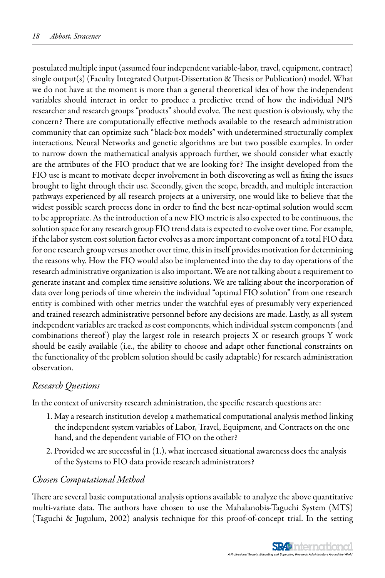postulated multiple input (assumed four independent variable-labor, travel, equipment, contract) single output(s) (Faculty Integrated Output-Dissertation & Thesis or Publication) model. What we do not have at the moment is more than a general theoretical idea of how the independent variables should interact in order to produce a predictive trend of how the individual NPS researcher and research groups "products" should evolve. The next question is obviously, why the concern? There are computationally effective methods available to the research administration community that can optimize such "black-box models" with undetermined structurally complex interactions. Neural Networks and genetic algorithms are but two possible examples. In order to narrow down the mathematical analysis approach further, we should consider what exactly are the attributes of the FIO product that we are looking for? The insight developed from the FIO use is meant to motivate deeper involvement in both discovering as well as fixing the issues brought to light through their use. Secondly, given the scope, breadth, and multiple interaction pathways experienced by all research projects at a university, one would like to believe that the widest possible search process done in order to find the best near-optimal solution would seem to be appropriate. As the introduction of a new FIO metric is also expected to be continuous, the solution space for any research group FIO trend data is expected to evolve over time. For example, if the labor system cost solution factor evolves as a more important component of a total FIO data for one research group versus another over time, this in itself provides motivation for determining the reasons why. How the FIO would also be implemented into the day to day operations of the research administrative organization is also important. We are not talking about a requirement to generate instant and complex time sensitive solutions. We are talking about the incorporation of data over long periods of time wherein the individual "optimal FIO solution" from one research entity is combined with other metrics under the watchful eyes of presumably very experienced and trained research administrative personnel before any decisions are made. Lastly, as all system independent variables are tracked as cost components, which individual system components (and combinations thereof) play the largest role in research projects  $X$  or research groups  $Y$  work should be easily available (i.e., the ability to choose and adapt other functional constraints on the functionality of the problem solution should be easily adaptable) for research administration observation.

### *Research Questions*

In the context of university research administration, the specific research questions are:

- 1. May a research institution develop a mathematical computational analysis method linking the independent system variables of Labor, Travel, Equipment, and Contracts on the one hand, and the dependent variable of FIO on the other?
- 2. Provided we are successful in (1.), what increased situational awareness does the analysis of the Systems to FIO data provide research administrators?

### *Chosen Computational Method*

There are several basic computational analysis options available to analyze the above quantitative multi-variate data. The authors have chosen to use the Mahalanobis-Taguchi System (MTS) (Taguchi & Jugulum, 2002) analysis technique for this proof-of-concept trial. In the setting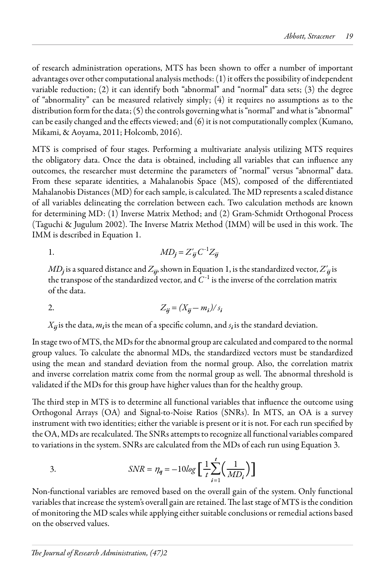of research administration operations, MTS has been shown to offer a number of important advantages over other computational analysis methods: (1) it offers the possibility of independent variable reduction; (2) it can identify both "abnormal" and "normal" data sets; (3) the degree of "abnormality" can be measured relatively simply; (4) it requires no assumptions as to the distribution form for the data; (5) the controls governing what is "normal" and what is "abnormal" can be easily changed and the effects viewed; and (6) it is not computationally complex (Kumano, Mikami, & Aoyama, 2011; Holcomb, 2016).

MTS is comprised of four stages. Performing a multivariate analysis utilizing MTS requires the obligatory data. Once the data is obtained, including all variables that can influence any outcomes, the researcher must determine the parameters of "normal" versus "abnormal" data. From these separate identities, a Mahalanobis Space (MS), composed of the differentiated Mahalanobis Distances (MD) for each sample, is calculated. The MD represents a scaled distance of all variables delineating the correlation between each. Two calculation methods are known for determining MD: (1) Inverse Matrix Method; and (2) Gram-Schmidt Orthogonal Process (Taguchi & Jugulum 2002). The Inverse Matrix Method (IMM) will be used in this work. The IMM is described in Equation 1.

1. 
$$
MD_j = Z'_{ij} C^{-1} Z_{ij}
$$

 $MD_j$  is a squared distance and  $Z_{ij}$ , shown in Equation 1, is the standardized vector,  $Z'_{ij}$  is the transpose of the standardized vector, and  $C^{-1}$  is the inverse of the correlation matrix of the data.

2. 
$$
Z_{ij} = (X_{ij} - m_i) / s_i
$$

 $X_{ij}$  is the data,  $m_i$  *is* the mean of a specific column, and  $s_i$  *is* the standard deviation.

In stage two of MTS, the MDs for the abnormal group are calculated and compared to the normal group values. To calculate the abnormal MDs, the standardized vectors must be standardized using the mean and standard deviation from the normal group. Also, the correlation matrix and inverse correlation matrix come from the normal group as well. The abnormal threshold is validated if the MDs for this group have higher values than for the healthy group.

The third step in MTS is to determine all functional variables that influence the outcome using Orthogonal Arrays (OA) and Signal-to-Noise Ratios (SNRs). In MTS, an OA is a survey instrument with two identities; either the variable is present or it is not. For each run specified by the OA, MDs are recalculated. The SNRs attempts to recognize all functional variables compared to variations in the system. SNRs are calculated from the MDs of each run using Equation 3.

3. 
$$
SNR = \eta_q = -10 \log \left[ \frac{1}{t} \sum_{i=1}^{t} \left( \frac{1}{MD_i} \right) \right]
$$

Non-functional variables are removed based on the overall gain of the system. Only functional variables that increase the system's overall gain are retained. The last stage of MTS is the condition of monitoring the MD scales while applying either suitable conclusions or remedial actions based on the observed values.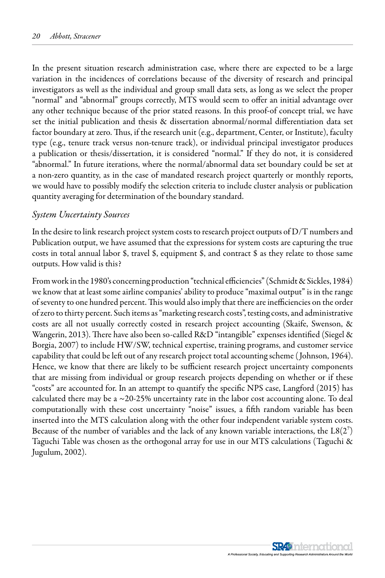In the present situation research administration case, where there are expected to be a large variation in the incidences of correlations because of the diversity of research and principal investigators as well as the individual and group small data sets, as long as we select the proper "normal" and "abnormal" groups correctly, MTS would seem to offer an initial advantage over any other technique because of the prior stated reasons. In this proof-of concept trial, we have set the initial publication and thesis & dissertation abnormal/normal differentiation data set factor boundary at zero. Thus, if the research unit (e.g., department, Center, or Institute), faculty type (e.g., tenure track versus non-tenure track), or individual principal investigator produces a publication or thesis/dissertation, it is considered "normal." If they do not, it is considered "abnormal." In future iterations, where the normal/abnormal data set boundary could be set at a non-zero quantity, as in the case of mandated research project quarterly or monthly reports, we would have to possibly modify the selection criteria to include cluster analysis or publication quantity averaging for determination of the boundary standard.

### *System Uncertainty Sources*

In the desire to link research project system costs to research project outputs of D/T numbers and Publication output, we have assumed that the expressions for system costs are capturing the true costs in total annual labor \$, travel \$, equipment \$, and contract \$ as they relate to those same outputs. How valid is this?

From work in the 1980's concerning production "technical efficiencies" (Schmidt & Sickles, 1984) we know that at least some airline companies' ability to produce "maximal output" is in the range of seventy to one hundred percent. This would also imply that there are inefficiencies on the order of zero to thirty percent. Such items as "marketing research costs", testing costs, and administrative costs are all not usually correctly costed in research project accounting (Skaife, Swenson, & Wangerin, 2013). There have also been so-called R&D "intangible" expenses identified (Siegel & Borgia, 2007) to include HW/SW, technical expertise, training programs, and customer service capability that could be left out of any research project total accounting scheme ( Johnson, 1964). Hence, we know that there are likely to be sufficient research project uncertainty components that are missing from individual or group research projects depending on whether or if these "costs" are accounted for. In an attempt to quantify the specific NPS case, Langford (2015) has calculated there may be a ~20-25% uncertainty rate in the labor cost accounting alone. To deal computationally with these cost uncertainty "noise" issues, a fifth random variable has been inserted into the MTS calculation along with the other four independent variable system costs. Because of the number of variables and the lack of any known variable interactions, the  $L8(2<sup>7</sup>)$ Taguchi Table was chosen as the orthogonal array for use in our MTS calculations (Taguchi & Jugulum, 2002).

> **SR4** International A Professional Society, Educating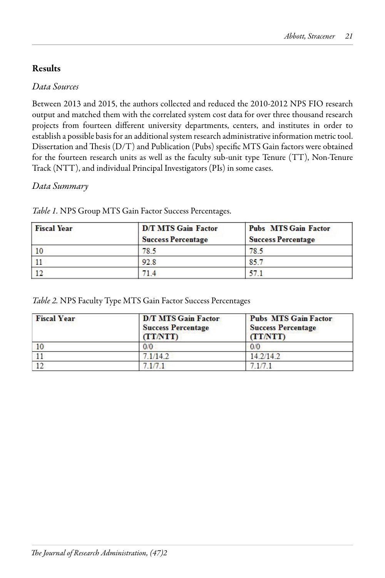## and the lack of any known variable interactions, the lack of any known variable interactions, the L8(27) of any known variable interactions, the lack of any known variable interactions, the lack of any known variable inter

#### *Data Sources* orthogonal array for use in our MTS calculations (Taguchi & Jugulum, 2002).

Between 2013 and 2015, the authors collected and reduced the 2010-2012 NPS FIO research output and matched them with the correlated system cost data for over three thousand research projects from fourteen different university departments, centers, and institutes in order to establish a possible basis for an additional system research administrative information metric tool. Dissertation and Thesis (D/T) and Publication (Pubs) specific MTS Gain factors were obtained for the fourteen research units as well as the faculty sub-unit type Tenure (TT), Non-Tenure Track (NTT), and individual Principal Investigators (PIs) in some cases.  $\frac{1}{\sqrt{2}}$  for the fourteen research units as well as the faculty sub-unit type  $\frac{1}{\sqrt{2}}$ 

## Data Summary

| <b>Fiscal Year</b> | <b>D/T MTS Gain Factor</b><br><b>Success Percentage</b> | <b>Pubs</b> MTS Gain Factor<br><b>Success Percentage</b> |  |
|--------------------|---------------------------------------------------------|----------------------------------------------------------|--|
| $\vert$ 10         | 78.5                                                    | 78.5                                                     |  |
|                    | 92.8                                                    | 857                                                      |  |
| 12                 |                                                         | 57.1                                                     |  |

*Data Summary Table 1.* NPS Group MTS Gain Factor Success Percentages.

| <b>Fiscal Year</b> | <b>D/T MTS Gain Factor</b><br><b>Success Percentage</b><br>(TT/NTT) | <b>Pubs MTS Gain Factor</b><br><b>Success Percentage</b><br><b>(TTATT)</b> |  |
|--------------------|---------------------------------------------------------------------|----------------------------------------------------------------------------|--|
|                    | 0/0                                                                 | 0/0                                                                        |  |
|                    | 7.1/14.2                                                            | 142/142                                                                    |  |
|                    |                                                                     |                                                                            |  |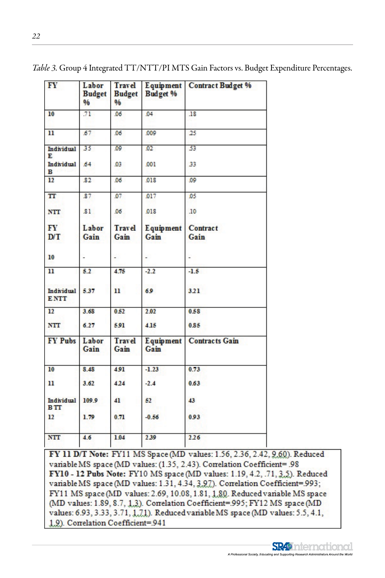| FY                                   | Labor<br><b>Budget</b><br>96 | <b>Travel</b><br><b>Budget</b><br>96 | Budget %                 | Equipment Contract Budget % |
|--------------------------------------|------------------------------|--------------------------------------|--------------------------|-----------------------------|
| 10                                   | 71                           | 06                                   | 04                       | .18                         |
| $\mathbf{11}$                        | 67                           | 06                                   | 009                      | 25                          |
| <b>Individual</b><br>Е               | 35                           | 09                                   | 02 <sub>z</sub>          | 53                          |
| Individual<br>в                      | 64                           | 03                                   | .001                     | 33                          |
| 12                                   | 82                           | 06                                   | .018                     | .09                         |
| T                                    | 87                           | 07                                   | 017                      | 05                          |
| <b>NTT</b>                           | 81                           | 06                                   | .018                     | .10                         |
| FY<br>D/T                            | Labor<br>Gain                | <b>Travel</b><br>Gain                | <b>Equipment</b><br>Gain | Contract<br>Gain            |
| 10                                   |                              |                                      |                          |                             |
| $\overline{\mathbf{u}}$              | 5.2                          | 4.75                                 | $-2.2$                   | $-1.5$                      |
| <b>Individual</b><br><b>ENTT</b>     | 5.37                         | $\mathbf{u}$                         | 6.9                      | 3.21                        |
| 12                                   | 3.68                         | 0.52                                 | 2.02                     | 0.58                        |
| <b>NTT</b>                           | 6.27                         | 591                                  | 4.15                     | 0.85                        |
| <b>FY Pubs</b>                       | Labor<br>Gain                | <b>Travel</b><br>Gain                | Equipment<br>Gain        | <b>Contracts Gain</b>       |
| 10                                   | 8.48                         | 4.91                                 | $-1.23$                  | 0.73                        |
| $\mathbf{u}$                         | 3.62                         | 424                                  | $-2.4$                   | 0.63                        |
| Individual<br><b>B</b> <sub>TT</sub> | 109.9                        | 41                                   | 52                       | 43                          |
| 12                                   | 1.79                         | 0.71                                 | $-0.56$                  | 0.93                        |
| <b>NTT</b>                           | 4.6                          | 1.04                                 | 2.39                     | 226                         |

Table 3. Group 4 Integrated TT/NTT/PI MTS Gain Factors vs. Budget Expenditure Percentages.

FY 11 D/T Note: FY11 MS Space (MD values: 1.56, 2.36, 2.42, 9.60). Reduced variable MS space (MD values: (1.35, 2.43). Correlation Coefficient= .98 FY10 - 12 Pubs Note: FY10 MS space (MD values: 1.19, 4.2, .71, 3.5). Reduced variable MS space (MD values: 1.31, 4.34, 3.97). Correlation Coefficient=.993; FY11 MS space (MD values: 2.69, 10.08, 1.81, 1.80. Reduced variable MS space (MD values: 1.89, 8.7, 1.3). Correlation Coefficient=.995; FY12 MS space (MD values: 6.93, 3.33, 3.71, 1.71). Reduced variable MS space (MD values: 5.5, 4.1, 1.9). Correlation Coefficient=.941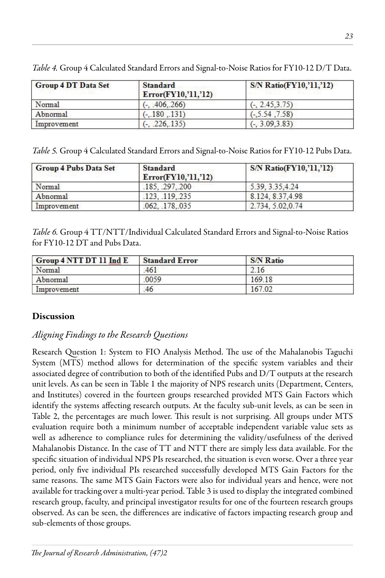| <b>Group 4 DT Data Set</b> | <b>Standard</b><br>Error(FY10, '11, '12) | <b>S/N Ratio(FY10,'11,'12)</b> |  |
|----------------------------|------------------------------------------|--------------------------------|--|
| Normal                     | $(-, 406, 266)$                          | $(-, 2.45.3.75)$               |  |
| Abnormal                   | $(-.180, .131)$                          | $(-5.54, 7.58)$                |  |
| Improvement                | .226135)                                 | $(-3.09.3.83)$                 |  |

*Lable 4.* Group 4 Calculated Sta *Table 4.* Group 4 Calculated Standard Errors and Signal-to-Noise Ratios for FY10-12 D/T Data.

Table 5. Group 4 Calculated Standard Errors and Signal-to-Noise Ratios for FY10-12 Pubs Data.

| <b>Group 4 Pubs Data Set</b> | <b>Standard</b><br>Error(FY10,'11,'12) | <b>S/N Ratio(FY10,'11,'12)</b> |
|------------------------------|----------------------------------------|--------------------------------|
| Normal                       | .185, .297, .200                       | 5.39, 3.35, 4.24               |
| Abnormal                     | 123.119.235                            | 8.124, 8.37, 4.98              |
| Improvement                  | .062. 178.035                          | 2.734, 5.02.0.74               |

for FY10-12  $\overline{\text{DT}}$  and Pubs Data. Table 6. Group 4 TT/NTT/Individual Calculated Standard Errors and Signal-to-Noise Ratios

| Group 4 NTT DT 11 Ind E | <b>Standard Error</b> | <b>S/N Ratio</b> |  |
|-------------------------|-----------------------|------------------|--|
| Normal                  | 461                   | 2.16             |  |
| Abnormal                | .0059                 | 169.18           |  |
| Improvement             | .46                   | 167.02           |  |

#### $T_{\text{S}}$  The  $\text{S}}$  TT<sub>ind</sub>ividual Calculated Standard Errors and Signal-to-Noise Ratios for Noise Ratios for Noise Ratios for Noise Ratios for Noise Ratios for Noise Ratios for Noise Ratios for Noise Ratios for Noise R **Discussion**

### Aligning Findings to the Research Questions  $\begin{array}{ccc} \circ & \circ & \circ \end{array}$

Reception 4. System to EIO Anglycia Mathod. The use of the Mahalanghia Transhi  $F_{\text{C}} = \sqrt{MTC} = 1 - 1.11$ associated degree of contribution to both of the identified Pubs and D/T outputs at the research and Institutes) covered in the fourteen groups researched provided MTS Gain Factors which identify the systems affecting research outputs. At the faculty sub-unit levels, as can be seen in Table 2, the percentages are much lower. This result is not surprising. All groups under MT. evaluation require both a minimum number of acceptable independent variable value sets as well as adherence to compliance rules for determining the validity/usefulness of the derived Mahalanobis Distance. In the case of TT and NTT there are simply less data available. For the maintenance research non-generation. Mahalanobis Distance. In the case of TT and NTT there are simply less data available. For t specific situation of individual NPS PIs researched, the situation is even worse. Over a three year period, only five individual PIs researched successfully developed MTS Gain Factors for the same reasons. The same MTS Gain Factors were also for individual years and hence, were not available for tracking over a multi-year period. Table 3 is used to display the integrated combined available for tracking over a multi-year period. Table 5 is used to display the integrated combine research group, faculty, and principal investigator results for one of the fourteen research groups observed. As can be seen, the differences are indicative of factors impacting research groups sub-elements of those groups.  $\frac{1}{1}$  is  $\frac{1}{2}$  is  $\frac{1}{2}$ System (MTS) method allows for determination of the specific system variables and their associated degree of contribution to both of the racinined T abs and D/T outputs at the research<br>unit levels. As can be seen in Table 1 the majority of NPS research units (Department, Centers, Mahalanobis Distance. In the case of TT and NTT there are simply less data available. For the  $\frac{1}{2}$  the display the integrated compiled research group, factor  $\frac{1}{2}$ Research Question 1: System to FIO Analysis Method. The use of the Mahalanobis Taguchi Table 2, the percentages are much lower. This result is not surprising. All groups under MTS observed. As can be seen, the differences are indicative of factors impacting research group and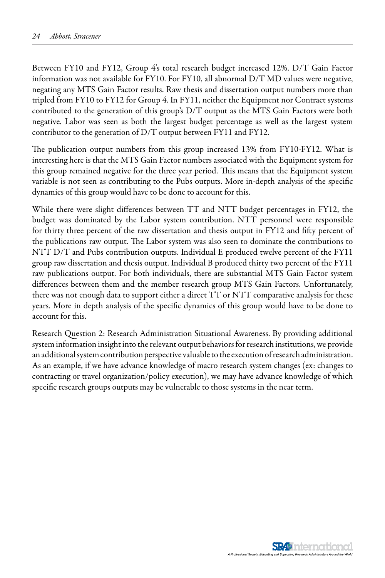Between FY10 and FY12, Group 4's total research budget increased 12%. D/T Gain Factor information was not available for FY10. For FY10, all abnormal D/T MD values were negative, negating any MTS Gain Factor results. Raw thesis and dissertation output numbers more than tripled from FY10 to FY12 for Group 4. In FY11, neither the Equipment nor Contract systems contributed to the generation of this group's D/T output as the MTS Gain Factors were both negative. Labor was seen as both the largest budget percentage as well as the largest system contributor to the generation of D/T output between FY11 and FY12.

The publication output numbers from this group increased 13% from FY10-FY12. What is interesting here is that the MTS Gain Factor numbers associated with the Equipment system for this group remained negative for the three year period. This means that the Equipment system variable is not seen as contributing to the Pubs outputs. More in-depth analysis of the specific dynamics of this group would have to be done to account for this.

While there were slight differences between TT and NTT budget percentages in FY12, the budget was dominated by the Labor system contribution. NTT personnel were responsible for thirty three percent of the raw dissertation and thesis output in FY12 and fifty percent of the publications raw output. The Labor system was also seen to dominate the contributions to NTT D/T and Pubs contribution outputs. Individual E produced twelve percent of the FY11 group raw dissertation and thesis output. Individual B produced thirty two percent of the FY11 raw publications output. For both individuals, there are substantial MTS Gain Factor system differences between them and the member research group MTS Gain Factors. Unfortunately, there was not enough data to support either a direct TT or NTT comparative analysis for these years. More in depth analysis of the specific dynamics of this group would have to be done to account for this.

Research Question 2: Research Administration Situational Awareness. By providing additional system information insight into the relevant output behaviors for research institutions, we provide an additional system contribution perspective valuable to the execution of research administration. As an example, if we have advance knowledge of macro research system changes (ex: changes to contracting or travel organization/policy execution), we may have advance knowledge of which specific research groups outputs may be vulnerable to those systems in the near term.

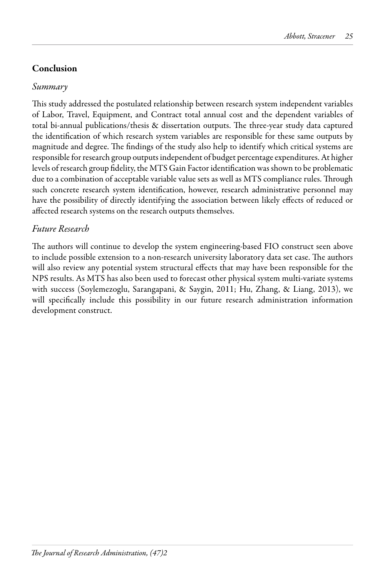## Conclusion

## *Summary*

This study addressed the postulated relationship between research system independent variables of Labor, Travel, Equipment, and Contract total annual cost and the dependent variables of total bi-annual publications/thesis & dissertation outputs. The three-year study data captured the identification of which research system variables are responsible for these same outputs by magnitude and degree. The findings of the study also help to identify which critical systems are responsible for research group outputs independent of budget percentage expenditures. At higher levels of research group fidelity, the MTS Gain Factor identification was shown to be problematic due to a combination of acceptable variable value sets as well as MTS compliance rules. Through such concrete research system identification, however, research administrative personnel may have the possibility of directly identifying the association between likely effects of reduced or affected research systems on the research outputs themselves.

## *Future Research*

The authors will continue to develop the system engineering-based FIO construct seen above to include possible extension to a non-research university laboratory data set case. The authors will also review any potential system structural effects that may have been responsible for the NPS results. As MTS has also been used to forecast other physical system multi-variate systems with success (Soylemezoglu, Sarangapani, & Saygin, 2011; Hu, Zhang, & Liang, 2013), we will specifically include this possibility in our future research administration information development construct.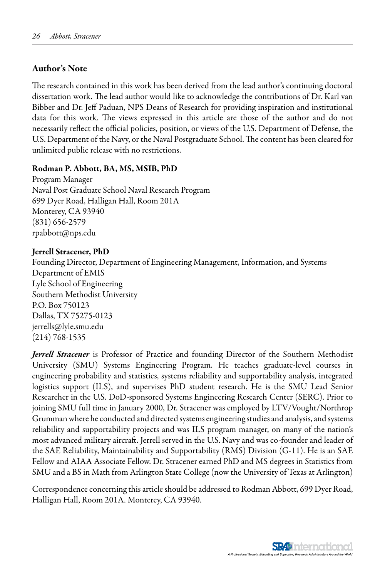### Author's Note

The research contained in this work has been derived from the lead author's continuing doctoral dissertation work. The lead author would like to acknowledge the contributions of Dr. Karl van Bibber and Dr. Jeff Paduan, NPS Deans of Research for providing inspiration and institutional data for this work. The views expressed in this article are those of the author and do not necessarily reflect the official policies, position, or views of the U.S. Department of Defense, the U.S. Department of the Navy, or the Naval Postgraduate School. The content has been cleared for unlimited public release with no restrictions.

### Rodman P. Abbott, BA, MS, MSIB, PhD

Program Manager Naval Post Graduate School Naval Research Program 699 Dyer Road, Halligan Hall, Room 201A Monterey, CA 93940 (831) 656-2579 rpabbott@nps.edu

### Jerrell Stracener, PhD

Founding Director, Department of Engineering Management, Information, and Systems Department of EMIS Lyle School of Engineering Southern Methodist University P.O. Box 750123 Dallas, TX 75275-0123 jerrells@lyle.smu.edu (214) 768-1535

*Jerrell Stracener* is Professor of Practice and founding Director of the Southern Methodist University (SMU) Systems Engineering Program. He teaches graduate-level courses in engineering probability and statistics, systems reliability and supportability analysis, integrated logistics support (ILS), and supervises PhD student research. He is the SMU Lead Senior Researcher in the U.S. DoD-sponsored Systems Engineering Research Center (SERC). Prior to joining SMU full time in January 2000, Dr. Stracener was employed by LTV/Vought/Northrop Grumman where he conducted and directed systems engineering studies and analysis, and systems reliability and supportability projects and was ILS program manager, on many of the nation's most advanced military aircraft. Jerrell served in the U.S. Navy and was co-founder and leader of the SAE Reliability, Maintainability and Supportability (RMS) Division (G-11). He is an SAE Fellow and AIAA Associate Fellow. Dr. Stracener earned PhD and MS degrees in Statistics from SMU and a BS in Math from Arlington State College (now the University of Texas at Arlington)

Correspondence concerning this article should be addressed to Rodman Abbott, 699 Dyer Road, Halligan Hall, Room 201A. Monterey, CA 93940.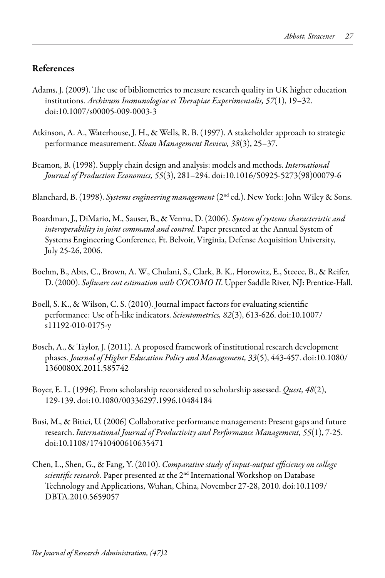## References

- Adams, J. (2009). The use of bibliometrics to measure research quality in UK higher education institutions. *Archivum Immunologiae et Therapiae Experimentalis, 57*(1), 19–32. doi:10.1007/s00005-009-0003-3
- Atkinson, A. A., Waterhouse, J. H., & Wells, R. B. (1997). A stakeholder approach to strategic performance measurement. *Sloan Management Review, 38*(3), 25–37.
- Beamon, B. (1998). Supply chain design and analysis: models and methods. *International Journal of Production Economics, 55*(3), 281–294. doi:10.1016/S0925-5273(98)00079-6

Blanchard, B. (1998). *Systems engineering management* (2nd ed.). New York: John Wiley & Sons.

- Boardman, J., DiMario, M., Sauser, B., & Verma, D. (2006). *System of systems characteristic and interoperability in joint command and control.* Paper presented at the Annual System of Systems Engineering Conference, Ft. Belvoir, Virginia, Defense Acquisition University, July 25-26, 2006.
- Boehm, B., Abts, C., Brown, A. W., Chulani, S., Clark, B. K., Horowitz, E., Steece, B., & Reifer, D. (2000). *Software cost estimation with COCOMO II*. Upper Saddle River, NJ: Prentice-Hall.
- Boell, S. K., & Wilson, C. S. (2010). Journal impact factors for evaluating scientific performance: Use of h-like indicators. *Scientometrics, 82*(3), 613-626. doi:10.1007/ s11192-010-0175-y
- Bosch, A., & Taylor, J. (2011). A proposed framework of institutional research development phases. *Journal of Higher Education Policy and Management, 33*(5), 443-457. doi:10.1080/ 1360080X.2011.585742
- Boyer, E. L. (1996). From scholarship reconsidered to scholarship assessed. *Quest, 48*(2), 129-139. doi:10.1080/00336297.1996.10484184
- Busi, M., & Bitici, U. (2006) Collaborative performance management: Present gaps and future research. *International Journal of Productivity and Performance Management, 55*(1), 7-25. doi:10.1108/17410400610635471
- Chen, L., Shen, G., & Fang, Y. (2010). *Comparative study of input-output efficiency on college scientific research*. Paper presented at the 2nd International Workshop on Database Technology and Applications, Wuhan, China, November 27-28, 2010. doi:10.1109/ DBTA.2010.5659057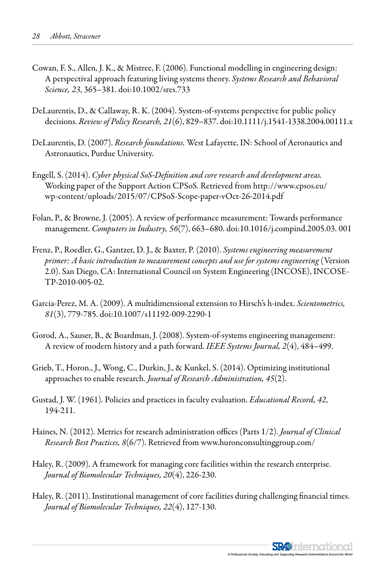- Cowan, F. S., Allen, J. K., & Mistree, F. (2006). Functional modelling in engineering design: A perspectival approach featuring living systems theory. *Systems Research and Behavioral Science, 23*, 365–381. doi:10.1002/sres.733
- DeLaurentis, D., & Callaway, R. K. (2004). System-of-systems perspective for public policy decisions. *Review of Policy Research, 21*(6), 829–837. doi:10.1111/j.1541-1338.2004.00111.x
- DeLaurentis, D. (2007). *Research foundations.* West Lafayette, IN: School of Aeronautics and Astronautics, Purdue University.
- Engell, S. (2014). *Cyber physical SoS-Definition and core research and development areas.*  Working paper of the Support Action CPSoS. Retrieved from http://www.cpsos.eu/ wp-content/uploads/2015/07/CPSoS-Scope-paper-vOct-26-2014.pdf
- Folan, P., & Browne, J. (2005). A review of performance measurement: Towards performance management. *Computers in Industry, 56*(7), 663–680. doi:10.1016/j.compind.2005.03. 001
- Frenz, P., Roedler, G., Gantzer, D. J., & Baxter, P. (2010). *Systems engineering measurement primer: A basic introduction to measurement concepts and use for systems engineering* (Version 2.0). San Diego, CA: International Council on System Engineering (INCOSE), INCOSE-TP-2010-005-02.
- Garcia-Perez, M. A. (2009). A multidimensional extension to Hirsch's h-index. *Scientometrics, 81*(3), 779-785. doi:10.1007/s11192-009-2290-1
- Gorod, A., Sauser, B., & Boardman, J. (2008). System-of-systems engineering management: A review of modern history and a path forward. *IEEE Systems Journal, 2*(4), 484–499.
- Grieb, T., Horon., J., Wong, C., Durkin, J., & Kunkel, S. (2014). Optimizing institutional approaches to enable research. *Journal of Research Administration, 45*(2).
- Gustad, J. W. (1961). Policies and practices in faculty evaluation. *Educational Record, 42*, 194-211.
- Haines, N. (2012). Metrics for research administration offices (Parts 1/2). *Journal of Clinical Research Best Practices, 8*(6/7). Retrieved from www.huronconsultinggroup.com/
- Haley, R. (2009). A framework for managing core facilities within the research enterprise. *Journal of Biomolecular Techniques, 20*(4), 226-230.
- Haley, R. (2011). Institutional management of core facilities during challenging financial times. *Journal of Biomolecular Techniques, 22*(4), 127-130.

**SR49** International A Professional Society, Educatin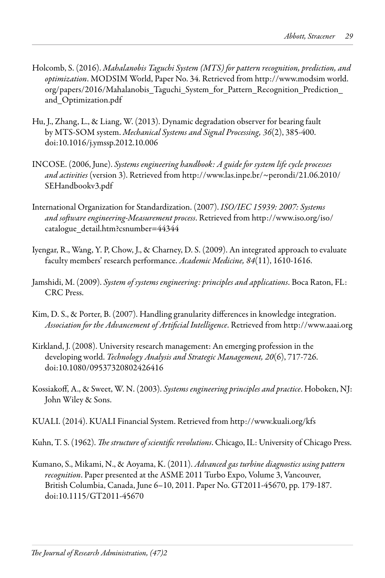- Holcomb, S. (2016). *Mahalanobis Taguchi System (MTS) for pattern recognition, prediction, and optimization*. MODSIM World, Paper No. 34. Retrieved from http://www.modsim world. org/papers/2016/Mahalanobis\_Taguchi\_System\_for\_Pattern\_Recognition\_Prediction\_ and\_Optimization.pdf
- Hu, J., Zhang, L., & Liang, W. (2013). Dynamic degradation observer for bearing fault by MTS-SOM system. *Mechanical Systems and Signal Processing, 36*(2), 385-400. doi:10.1016/j.ymssp.2012.10.006
- INCOSE. (2006, June). *Systems engineering handbook: A guide for system life cycle processes and activities* (version 3). Retrieved from http://www.las.inpe.br/~perondi/21.06.2010/ SEHandbookv3.pdf
- International Organization for Standardization. (2007). *ISO/IEC 15939: 2007: Systems and software engineering-Measurement process*. Retrieved from http://www.iso.org/iso/ catalogue\_detail.htm?csnumber=44344
- Iyengar, R., Wang, Y. P, Chow, J., & Charney, D. S. (2009). An integrated approach to evaluate faculty members' research performance. *Academic Medicine, 84*(11), 1610-1616.
- Jamshidi, M. (2009). *System of systems engineering: principles and applications*. Boca Raton, FL: CRC Press.
- Kim, D. S., & Porter, B. (2007). Handling granularity differences in knowledge integration. *Association for the Advancement of Artificial Intelligence*. Retrieved from http://www.aaai.org
- Kirkland, J. (2008). University research management: An emerging profession in the developing world. *Technology Analysis and Strategic Management, 20*(6), 717-726. doi:10.1080/09537320802426416
- Kossiakoff, A., & Sweet, W. N. (2003). *Systems engineering principles and practice*. Hoboken, NJ: John Wiley & Sons.
- KUALI. (2014). KUALI Financial System. Retrieved from http://www.kuali.org/kfs
- Kuhn, T. S. (1962). *The structure of scientific revolutions*. Chicago, IL: University of Chicago Press.
- Kumano, S., Mikami, N., & Aoyama, K. (2011). *Advanced gas turbine diagnostics using pattern recognition*. Paper presented at the ASME 2011 Turbo Expo, Volume 3, Vancouver, British Columbia, Canada, June 6–10, 2011. Paper No. GT2011-45670, pp. 179-187. doi:10.1115/GT2011-45670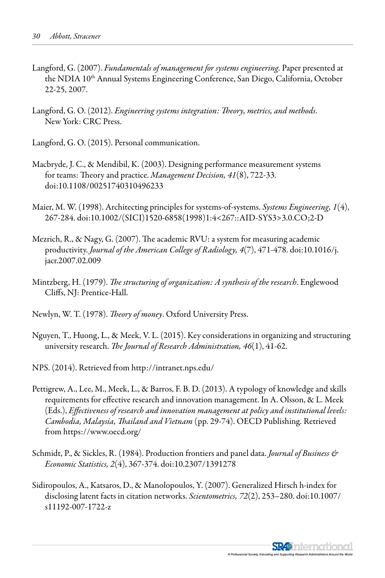- Langford, G. (2007). *Fundamentals of management for systems engineering*. Paper presented at the NDIA 10<sup>th</sup> Annual Systems Engineering Conference, San Diego, California, October 22-25, 2007.
- Langford, G. O. (2012). *Engineering systems integration: Theory, metrics, and methods*. New York: CRC Press.
- Langford, G. O. (2015). Personal communication.
- Macbryde, J. C., & Mendibil, K. (2003). Designing performance measurement systems for teams: Theory and practice. *Management Decision, 41*(8), 722-33. doi:10.1108/00251740310496233
- Maier, M. W. (1998). Architecting principles for systems-of-systems. *Systems Engineering, 1*(4), 267-284. doi:10.1002/(SICI)1520-6858(1998)1:4<267::AID-SYS3>3.0.CO;2-D
- Mezrich, R., & Nagy, G. (2007). The academic RVU: a system for measuring academic productivity. *Journal of the American College of Radiology, 4*(7), 471-478. doi:10.1016/j. jacr.2007.02.009
- Mintzberg, H. (1979). *The structuring of organization: A synthesis of the research*. Englewood Cliffs, NJ: Prentice-Hall.
- Newlyn, W. T. (1978). *Theory of money*. Oxford University Press.
- Nguyen, T., Huong, L., & Meek, V. L. (2015). Key considerations in organizing and structuring university research. *The Journal of Research Administration, 46*(1), 41-62.
- NPS. (2014). Retrieved from http://intranet.nps.edu/
- Pettigrew, A., Lee, M., Meek, L., & Barros, F. B. D. (2013). A typology of knowledge and skills requirements for effective research and innovation management. In A. Olsson, & L. Meek (Eds.), *Effectiveness of research and innovation management at policy and institutional levels: Cambodia, Malaysia, Thailand and Vietnam* (pp. 29-74). OECD Publishing. Retrieved from https://www.oecd.org/
- Schmidt, P., & Sickles, R. (1984). Production frontiers and panel data. *Journal of Business & Economic Statistics, 2*(4), 367-374. doi:10.2307/1391278
- Sidiropoulos, A., Katsaros, D., & Manolopoulos, Y. (2007). Generalized Hirsch h-index for disclosing latent facts in citation networks. *Scientometrics, 72*(2), 253–280. doi:10.1007/ s11192-007-1722-z

**SR49** International A Professional Society, Educatin